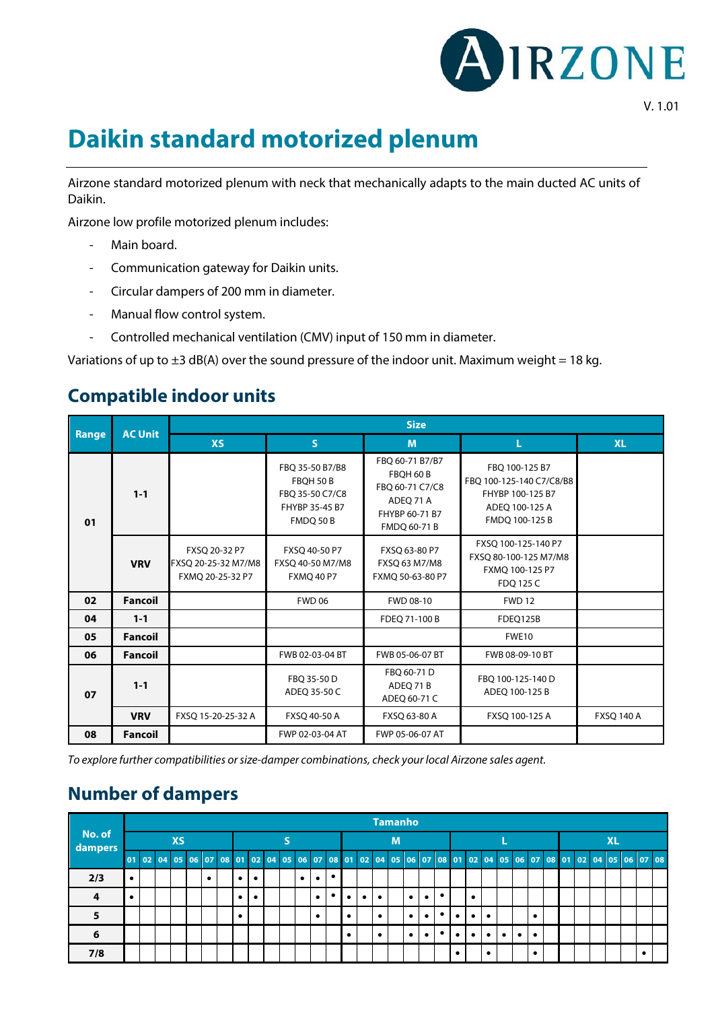

## **Daikin standard motorized plenum**

Airzone standard motorized plenum with neck that mechanically adapts to the main ducted AC units of Daikin.

Airzone low profile motorized plenum includes:

- Main board.
- Communication gateway for Daikin units.
- Circular dampers of 200 mm in diameter.
- Manual flow control system.
- Controlled mechanical ventilation (CMV) input of 150 mm in diameter.

Variations of up to  $\pm 3$  dB(A) over the sound pressure of the indoor unit. Maximum weight = 18 kg.

## **Compatible indoor units**

|       | <b>AC Unit</b> | <b>Size</b>                                              |                                                                                |                                                                                               |                                                                                                    |                   |  |  |  |  |  |  |
|-------|----------------|----------------------------------------------------------|--------------------------------------------------------------------------------|-----------------------------------------------------------------------------------------------|----------------------------------------------------------------------------------------------------|-------------------|--|--|--|--|--|--|
| Range |                | <b>XS</b>                                                | S                                                                              | M                                                                                             | L                                                                                                  | <b>XL</b>         |  |  |  |  |  |  |
| 01    | $1 - 1$        |                                                          | FBQ 35-50 B7/B8<br>FBOH 50 B<br>FBO 35-50 C7/C8<br>FHYBP 35-45 B7<br>FMDQ 50 B | FBQ 60-71 B7/B7<br>FBOH 60 B<br>FBO 60-71 C7/C8<br>ADEO 71 A<br>FHYBP 60-71 B7<br>FMDQ 60-71B | FBO 100-125 B7<br>FBO 100-125-140 C7/C8/B8<br>FHYBP 100-125 B7<br>ADEQ 100-125 A<br>FMDQ 100-125 B |                   |  |  |  |  |  |  |
|       | <b>VRV</b>     | FXSQ 20-32 P7<br>FXSQ 20-25-32 M7/M8<br>FXMQ 20-25-32 P7 | FXSQ 40-50 P7<br>FXSQ 40-50 M7/M8<br><b>FXMQ 40 P7</b>                         | FXSQ 63-80 P7<br>FXSQ 63 M7/M8<br>FXMQ 50-63-80 P7                                            | FXSQ 100-125-140 P7<br>FXSQ 80-100-125 M7/M8<br>FXMQ 100-125 P7<br>FDO 125 C                       |                   |  |  |  |  |  |  |
| 02    | <b>Fancoil</b> |                                                          | <b>FWD 06</b>                                                                  | FWD 08-10                                                                                     | <b>FWD 12</b>                                                                                      |                   |  |  |  |  |  |  |
| 04    | $1 - 1$        |                                                          |                                                                                | FDEO 71-100 B                                                                                 | FDEO125B                                                                                           |                   |  |  |  |  |  |  |
| 05    | <b>Fancoil</b> |                                                          |                                                                                |                                                                                               | <b>FWE10</b>                                                                                       |                   |  |  |  |  |  |  |
| 06    | Fancoil        |                                                          | FWB 02-03-04 BT                                                                | FWB 05-06-07 BT                                                                               | FWB 08-09-10 BT                                                                                    |                   |  |  |  |  |  |  |
| 07    | $1 - 1$        |                                                          | FBO 35-50 D<br>ADEO 35-50 C                                                    | FBO 60-71 D<br>ADEQ 71 B<br>ADEQ 60-71 C                                                      | FBQ 100-125-140 D<br>ADEQ 100-125 B                                                                |                   |  |  |  |  |  |  |
|       | <b>VRV</b>     | FXSQ 15-20-25-32 A                                       | FXSQ 40-50 A                                                                   | FXSQ 63-80 A                                                                                  | FXSQ 100-125 A                                                                                     | <b>FXSQ 140 A</b> |  |  |  |  |  |  |
| 08    | Fancoil        |                                                          | FWP 02-03-04 AT                                                                | FWP 05-06-07 AT                                                                               |                                                                                                    |                   |  |  |  |  |  |  |

*To explore further compatibilities or size-damper combinations, check your local Airzone sales agent.*

## **Number of dampers**

| No. of<br>dampers |           |  |  |  |  |   |  |   |           |                         |   |   |           |  |           |           |           | <b>Tamanho</b> |           |           |   |  |           |           |             |           |           |  |  |                                                                            |  |  |  |  |  |
|-------------------|-----------|--|--|--|--|---|--|---|-----------|-------------------------|---|---|-----------|--|-----------|-----------|-----------|----------------|-----------|-----------|---|--|-----------|-----------|-------------|-----------|-----------|--|--|----------------------------------------------------------------------------|--|--|--|--|--|
|                   | <b>XS</b> |  |  |  |  |   |  |   |           |                         | M |   |           |  |           |           |           |                |           |           |   |  |           |           | <b>XL</b>   |           |           |  |  |                                                                            |  |  |  |  |  |
|                   | 01 02     |  |  |  |  |   |  |   |           | 04 05 06 07 08 01 02 04 |   |   |           |  |           |           |           |                |           |           |   |  |           |           |             |           |           |  |  | 05 06 07 08 01 02 04 05 06 07 08 01 02 04 05 06 07 08 01 02 04 05 06 07 08 |  |  |  |  |  |
| 2/3               | $\bullet$ |  |  |  |  | ٠ |  | ٠ | ٠         |                         |   | ٠ | $\bullet$ |  |           |           |           |                |           |           |   |  |           |           |             |           |           |  |  |                                                                            |  |  |  |  |  |
| 4                 |           |  |  |  |  |   |  |   | $\bullet$ |                         |   |   |           |  |           | $\bullet$ | $\bullet$ |                | $\bullet$ | $\bullet$ |   |  | ٠         |           |             |           |           |  |  |                                                                            |  |  |  |  |  |
| 5                 |           |  |  |  |  |   |  |   |           |                         |   |   |           |  |           |           |           |                | $\bullet$ | $\bullet$ |   |  |           | $\bullet$ |             |           | ٠         |  |  |                                                                            |  |  |  |  |  |
| 6                 |           |  |  |  |  |   |  |   |           |                         |   |   |           |  | $\bullet$ |           | $\bullet$ |                | $\bullet$ | ٠         | ٠ |  | $\bullet$ | $\bullet$ | $\bullet$ l | $\bullet$ | $\bullet$ |  |  |                                                                            |  |  |  |  |  |
| 7/8               |           |  |  |  |  |   |  |   |           |                         |   |   |           |  |           |           |           |                |           |           |   |  |           | $\bullet$ |             |           | ٠         |  |  |                                                                            |  |  |  |  |  |